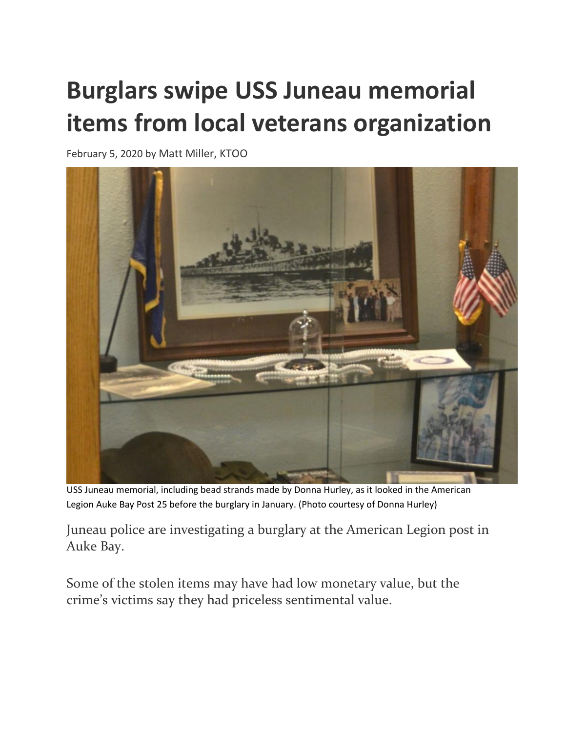## **Burglars swipe USS Juneau memorial items from local veterans organization**

February 5, 2020 by [Matt Miller, KTOO](https://www.ktoo.org/author/mattm/)



USS Juneau memorial, including bead strands made by Donna Hurley, as it looked in the American Legion Auke Bay Post 25 before the burglary in January. (Photo courtesy of Donna Hurley)

Juneau police are investigating a burglary at the American Legion post in Auke Bay.

Some of the stolen items may have had low monetary value, but the crime's victims say they had priceless sentimental value.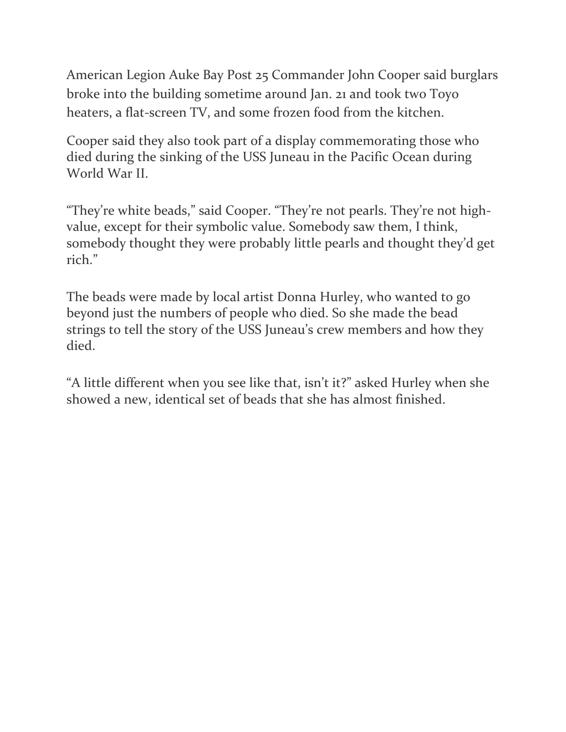American Legion Auke Bay Post 25 Commander John Cooper said burglars broke into the building sometime around Jan. 21 and took two Toyo heaters, a flat-screen TV, and some frozen food from the kitchen.

Cooper said they also took part of a display commemorating those who died during the sinking of the USS Juneau in the Pacific Ocean during World War II.

"They're white beads," said Cooper. "They're not pearls. They're not highvalue, except for their symbolic value. Somebody saw them, I think, somebody thought they were probably little pearls and thought they'd get rich."

The beads were made by local artist Donna Hurley, who wanted to go beyond just the numbers of people who died. So she made the bead strings to tell the story of the USS Juneau's crew members and how they died.

"A little different when you see like that, isn't it?" asked Hurley when she showed a new, identical set of beads that she has almost finished.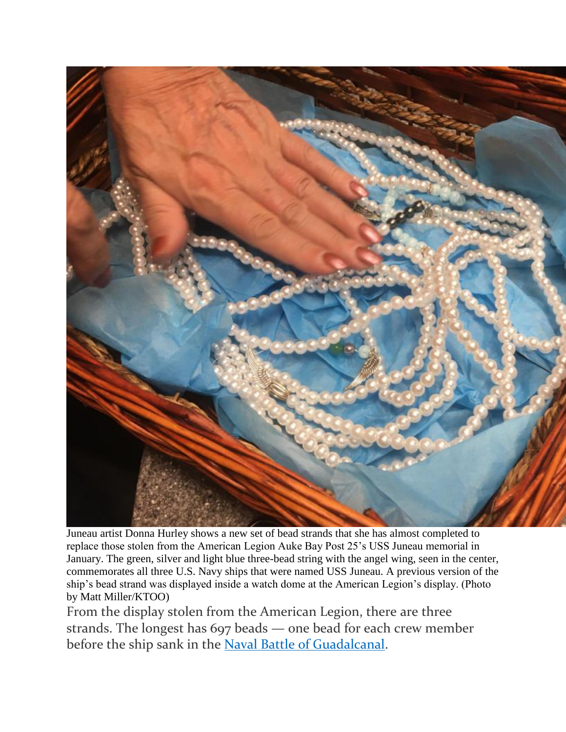

Juneau artist Donna Hurley shows a new set of bead strands that she has almost completed to replace those stolen from the American Legion Auke Bay Post 25's USS Juneau memorial in January. The green, silver and light blue three-bead string with the angel wing, seen in the center, commemorates all three U.S. Navy ships that were named USS Juneau. A previous version of the ship's bead strand was displayed inside a watch dome at the American Legion's display. (Photo by Matt Miller/KTOO)

From the display stolen from the American Legion, there are three strands. The longest has 697 beads — one bead for each crew member before the ship sank in the [Naval Battle of Guadalcanal.](https://www.history.navy.mil/browse-by-topic/wars-conflicts-and-operations/world-war-ii/1942/guadalcanal/naval-battle-of-guadalcanal.html)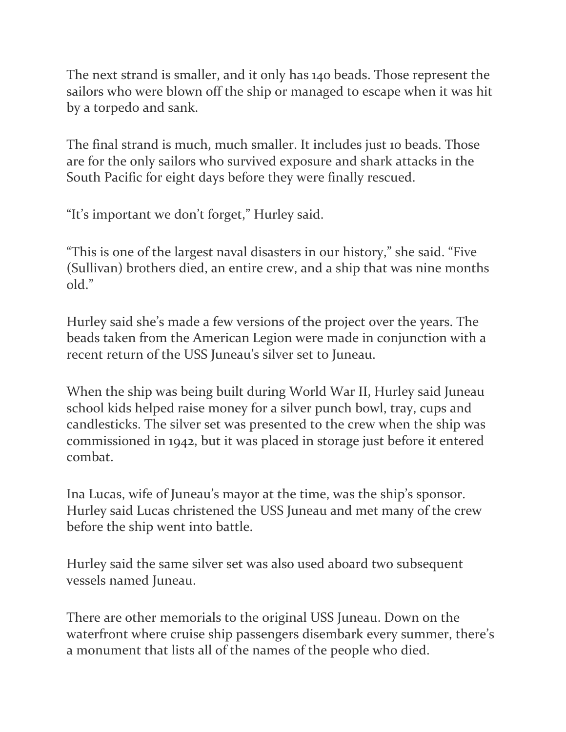The next strand is smaller, and it only has 140 beads. Those represent the sailors who were blown off the ship or managed to escape when it was hit by a torpedo and sank.

The final strand is much, much smaller. It includes just 10 beads. Those are for the only sailors who survived exposure and shark attacks in the South Pacific for eight days before they were finally rescued.

"It's important we don't forget," Hurley said.

"This is one of the largest naval disasters in our history," she said. "Five (Sullivan) brothers died, an entire crew, and a ship that was nine months old."

Hurley said she's made a few versions of the project over the years. The beads taken from the American Legion were made in conjunction with a recent return of the USS Juneau's silver set to Juneau.

When the ship was being built during World War II, Hurley said Juneau school kids helped raise money for a silver punch bowl, tray, cups and candlesticks. The silver set was presented to the crew when the ship was commissioned in 1942, but it was placed in storage just before it entered combat.

Ina Lucas, wife of Juneau's mayor at the time, was the ship's sponsor. Hurley said Lucas christened the USS Juneau and met many of the crew before the ship went into battle.

Hurley said the same silver set was also used aboard two subsequent vessels named Juneau.

There are other memorials to the original USS Juneau. Down on the waterfront where cruise ship passengers disembark every summer, there's a monument that lists all of the names of the people who died.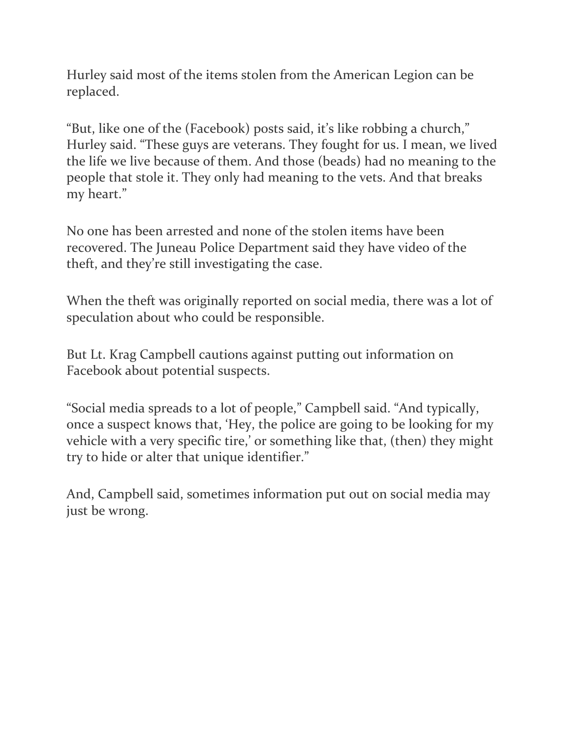Hurley said most of the items stolen from the American Legion can be replaced.

"But, like one of the (Facebook) posts said, it's like robbing a church," Hurley said. "These guys are veterans. They fought for us. I mean, we lived the life we live because of them. And those (beads) had no meaning to the people that stole it. They only had meaning to the vets. And that breaks my heart."

No one has been arrested and none of the stolen items have been recovered. The Juneau Police Department said they have video of the theft, and they're still investigating the case.

When the theft was originally reported on social media, there was a lot of speculation about who could be responsible.

But Lt. Krag Campbell cautions against putting out information on Facebook about potential suspects.

"Social media spreads to a lot of people," Campbell said. "And typically, once a suspect knows that, 'Hey, the police are going to be looking for my vehicle with a very specific tire,' or something like that, (then) they might try to hide or alter that unique identifier."

And, Campbell said, sometimes information put out on social media may just be wrong.